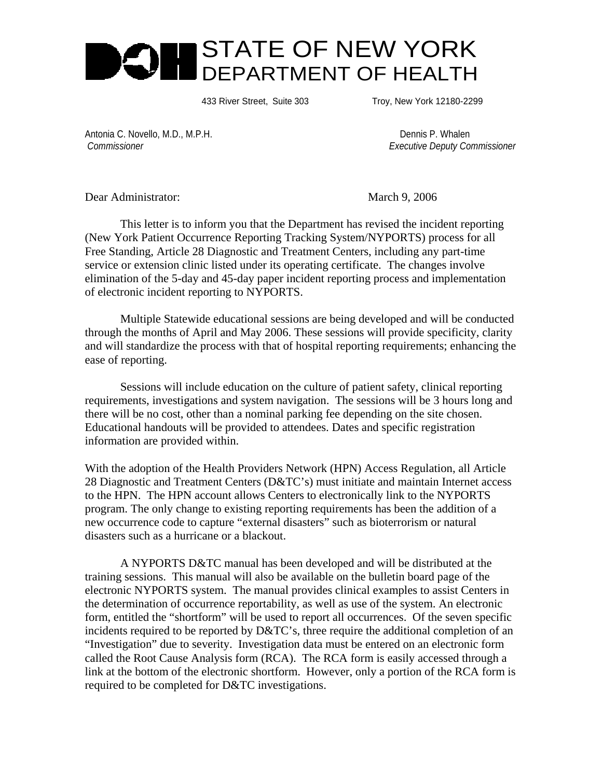

433 River Street, Suite 303 Troy, New York 12180-2299

Antonia C. Novello, M.D., M.P.H. Dennis P. Whalen

 *Commissioner Executive Deputy Commissioner*

Dear Administrator: March 9, 2006

 This letter is to inform you that the Department has revised the incident reporting (New York Patient Occurrence Reporting Tracking System/NYPORTS) process for all Free Standing, Article 28 Diagnostic and Treatment Centers, including any part-time service or extension clinic listed under its operating certificate. The changes involve elimination of the 5-day and 45-day paper incident reporting process and implementation of electronic incident reporting to NYPORTS.

Multiple Statewide educational sessions are being developed and will be conducted through the months of April and May 2006. These sessions will provide specificity, clarity and will standardize the process with that of hospital reporting requirements; enhancing the ease of reporting.

Sessions will include education on the culture of patient safety, clinical reporting requirements, investigations and system navigation. The sessions will be 3 hours long and there will be no cost, other than a nominal parking fee depending on the site chosen. Educational handouts will be provided to attendees. Dates and specific registration information are provided within.

With the adoption of the Health Providers Network (HPN) Access Regulation, all Article 28 Diagnostic and Treatment Centers (D&TC's) must initiate and maintain Internet access to the HPN. The HPN account allows Centers to electronically link to the NYPORTS program. The only change to existing reporting requirements has been the addition of a new occurrence code to capture "external disasters" such as bioterrorism or natural disasters such as a hurricane or a blackout.

A NYPORTS D&TC manual has been developed and will be distributed at the training sessions. This manual will also be available on the bulletin board page of the electronic NYPORTS system. The manual provides clinical examples to assist Centers in the determination of occurrence reportability, as well as use of the system. An electronic form, entitled the "shortform" will be used to report all occurrences. Of the seven specific incidents required to be reported by D&TC's, three require the additional completion of an "Investigation" due to severity. Investigation data must be entered on an electronic form called the Root Cause Analysis form (RCA). The RCA form is easily accessed through a link at the bottom of the electronic shortform. However, only a portion of the RCA form is required to be completed for D&TC investigations.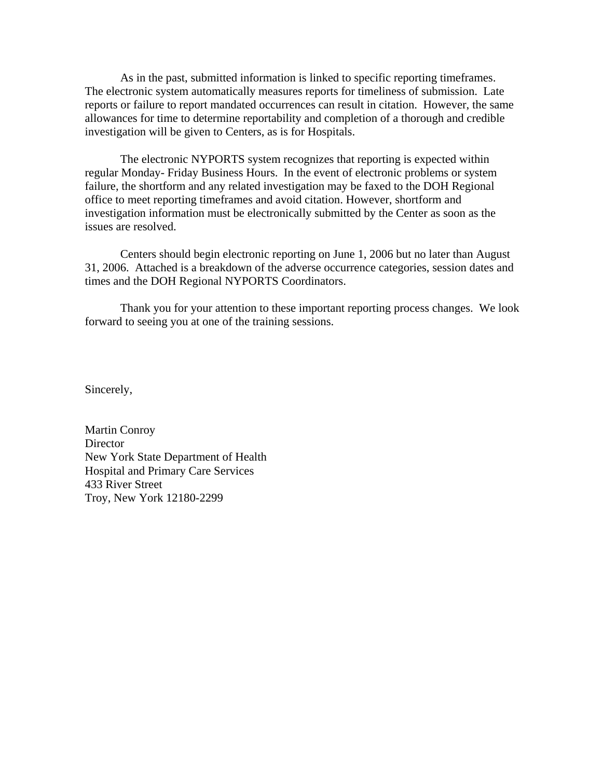As in the past, submitted information is linked to specific reporting timeframes. The electronic system automatically measures reports for timeliness of submission. Late reports or failure to report mandated occurrences can result in citation. However, the same allowances for time to determine reportability and completion of a thorough and credible investigation will be given to Centers, as is for Hospitals.

The electronic NYPORTS system recognizes that reporting is expected within regular Monday- Friday Business Hours. In the event of electronic problems or system failure, the shortform and any related investigation may be faxed to the DOH Regional office to meet reporting timeframes and avoid citation. However, shortform and investigation information must be electronically submitted by the Center as soon as the issues are resolved.

Centers should begin electronic reporting on June 1, 2006 but no later than August 31, 2006. Attached is a breakdown of the adverse occurrence categories, session dates and times and the DOH Regional NYPORTS Coordinators.

Thank you for your attention to these important reporting process changes. We look forward to seeing you at one of the training sessions.

Sincerely,

Martin Conroy **Director** New York State Department of Health Hospital and Primary Care Services 433 River Street Troy, New York 12180-2299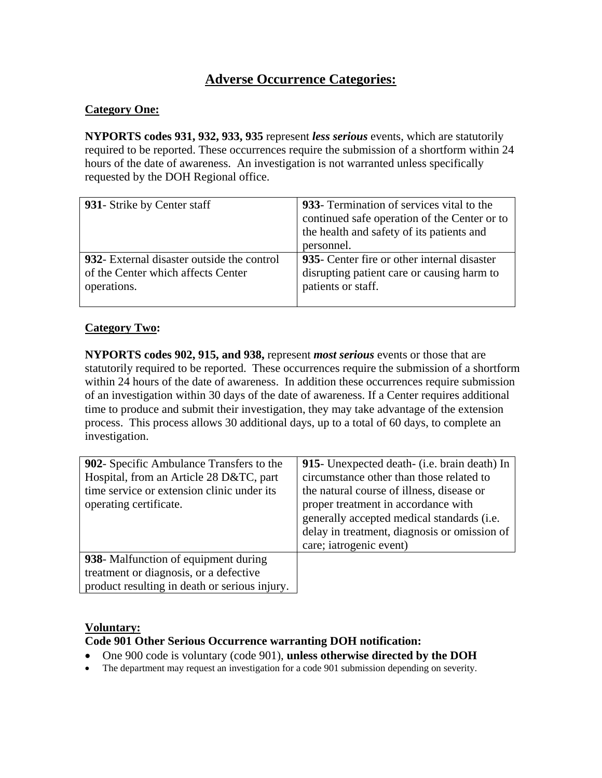# **Adverse Occurrence Categories:**

#### **Category One:**

**NYPORTS codes 931, 932, 933, 935** represent *less serious* events, which are statutorily required to be reported. These occurrences require the submission of a shortform within 24 hours of the date of awareness. An investigation is not warranted unless specifically requested by the DOH Regional office.

| 931- Strike by Center staff                | 933- Termination of services vital to the    |  |  |
|--------------------------------------------|----------------------------------------------|--|--|
|                                            | continued safe operation of the Center or to |  |  |
|                                            | the health and safety of its patients and    |  |  |
|                                            | personnel.                                   |  |  |
| 932- External disaster outside the control | 935- Center fire or other internal disaster  |  |  |
| of the Center which affects Center         | disrupting patient care or causing harm to   |  |  |
| operations.                                | patients or staff.                           |  |  |
|                                            |                                              |  |  |

## **Category Two:**

**NYPORTS codes 902, 915, and 938,** represent *most serious* events or those that are statutorily required to be reported. These occurrences require the submission of a shortform within 24 hours of the date of awareness. In addition these occurrences require submission of an investigation within 30 days of the date of awareness. If a Center requires additional time to produce and submit their investigation, they may take advantage of the extension process. This process allows 30 additional days, up to a total of 60 days, to complete an investigation.

| 902- Specific Ambulance Transfers to the<br>Hospital, from an Article 28 D&TC, part<br>time service or extension clinic under its<br>operating certificate. | 915- Unexpected death- (i.e. brain death) In<br>circumstance other than those related to<br>the natural course of illness, disease or<br>proper treatment in accordance with<br>generally accepted medical standards (i.e.<br>delay in treatment, diagnosis or omission of<br>care; iatrogenic event) |
|-------------------------------------------------------------------------------------------------------------------------------------------------------------|-------------------------------------------------------------------------------------------------------------------------------------------------------------------------------------------------------------------------------------------------------------------------------------------------------|
| 938- Malfunction of equipment during<br>treatment or diagnosis, or a defective<br>product resulting in death or serious injury.                             |                                                                                                                                                                                                                                                                                                       |

#### **Voluntary:**

## **Code 901 Other Serious Occurrence warranting DOH notification:**

- One 900 code is voluntary (code 901), **unless otherwise directed by the DOH**
- The department may request an investigation for a code 901 submission depending on severity.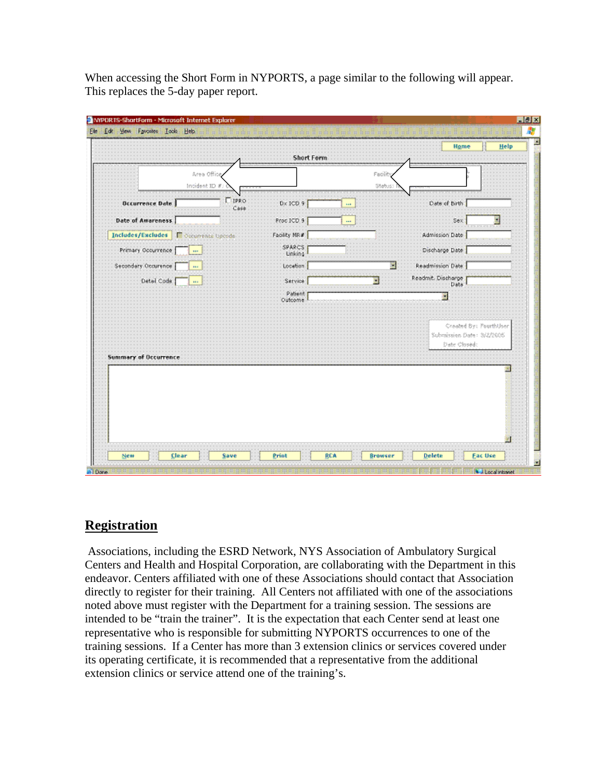When accessing the Short Form in NYPORTS, a page similar to the following will appear. This replaces the 5-day paper report.

|                              |                              | Short Form               |                  | Home                                      | Help                   |
|------------------------------|------------------------------|--------------------------|------------------|-------------------------------------------|------------------------|
|                              | Area Office<br>Incident IO # |                          | Facile<br>Status |                                           |                        |
| Occurrence Date              | <b>LEPRO</b><br>Case         | $D \times ICD$ 9         | and it           | Oats of Birth                             |                        |
| Date of Awareness            |                              | Proc ICD 9               | $\sim$           | Sex:                                      | м                      |
| Includes/Excludes            | Cocurrente Opcode            | Facility NR#             |                  | Admission Date                            |                        |
| Primary Occurrence           | $\overline{\phantom{a}}$     | <b>SPARCS</b><br>Linking |                  | Discharge Date                            |                        |
| Secondary Occurence          | as a                         | Location                 | W                | Readmission Date                          |                        |
| Detail Code                  | m.                           | Service                  |                  | Readmit. Discharge<br>Date                |                        |
|                              |                              | Patient<br>Outcome       |                  |                                           |                        |
| <b>Summary of Occurrence</b> |                              |                          |                  | Submission Date: 3/2/2005<br>Date Closed: | Created By: PourthUser |
|                              |                              |                          |                  |                                           |                        |
|                              |                              |                          |                  |                                           |                        |

# **Registration**

 Associations, including the ESRD Network, NYS Association of Ambulatory Surgical Centers and Health and Hospital Corporation, are collaborating with the Department in this endeavor. Centers affiliated with one of these Associations should contact that Association directly to register for their training. All Centers not affiliated with one of the associations noted above must register with the Department for a training session. The sessions are intended to be "train the trainer". It is the expectation that each Center send at least one representative who is responsible for submitting NYPORTS occurrences to one of the training sessions. If a Center has more than 3 extension clinics or services covered under its operating certificate, it is recommended that a representative from the additional extension clinics or service attend one of the training's.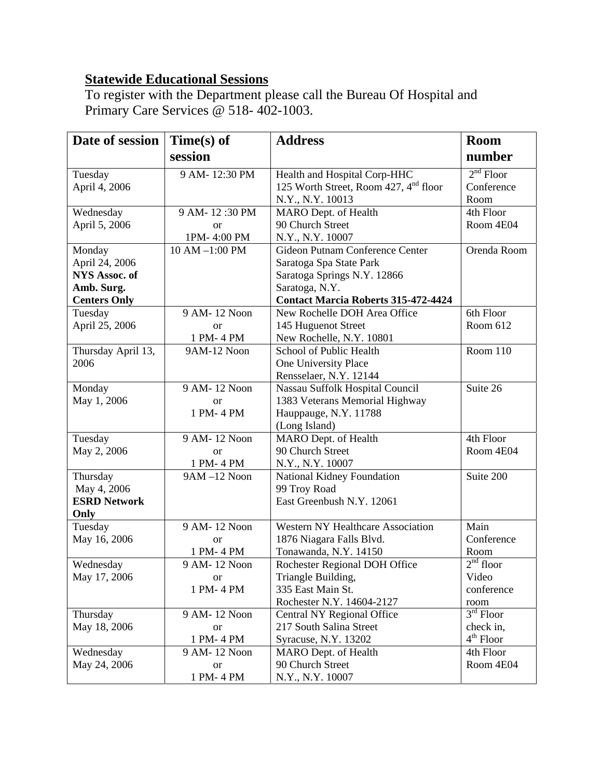# **Statewide Educational Sessions**

To register with the Department please call the Bureau Of Hospital and Primary Care Services @ 518- 402-1003.

| Date of session      | $Time(s)$ of   | <b>Address</b>                                    | <b>Room</b> |
|----------------------|----------------|---------------------------------------------------|-------------|
|                      | session        |                                                   | number      |
| Tuesday              | 9 AM-12:30 PM  | Health and Hospital Corp-HHC                      | $2nd$ Floor |
| April 4, 2006        |                | 125 Worth Street, Room 427, 4 <sup>nd</sup> floor | Conference  |
|                      |                | N.Y., N.Y. 10013                                  | Room        |
| Wednesday            | 9 AM-12:30 PM  | MARO Dept. of Health                              | 4th Floor   |
| April 5, 2006        | <b>or</b>      | 90 Church Street                                  | Room 4E04   |
|                      | 1PM-4:00 PM    | N.Y., N.Y. 10007                                  |             |
| Monday               | 10 AM -1:00 PM | Gideon Putnam Conference Center                   | Orenda Room |
| April 24, 2006       |                | Saratoga Spa State Park                           |             |
| <b>NYS Assoc. of</b> |                | Saratoga Springs N.Y. 12866                       |             |
| Amb. Surg.           |                | Saratoga, N.Y.                                    |             |
| <b>Centers Only</b>  |                | <b>Contact Marcia Roberts 315-472-4424</b>        |             |
| Tuesday              | 9 AM-12 Noon   | New Rochelle DOH Area Office                      | 6th Floor   |
| April 25, 2006       | <b>or</b>      | 145 Huguenot Street                               | Room 612    |
|                      | 1 PM-4 PM      | New Rochelle, N.Y. 10801                          |             |
| Thursday April 13,   | 9AM-12 Noon    | School of Public Health                           | Room 110    |
| 2006                 |                | One University Place                              |             |
|                      |                | Rensselaer, N.Y. 12144                            |             |
| Monday               | 9 AM-12 Noon   | Nassau Suffolk Hospital Council                   | Suite 26    |
| May 1, 2006          | or             | 1383 Veterans Memorial Highway                    |             |
|                      | 1 PM-4 PM      | Hauppauge, N.Y. 11788                             |             |
|                      |                | (Long Island)                                     |             |
| Tuesday              | 9 AM-12 Noon   | MARO Dept. of Health                              | 4th Floor   |
| May 2, 2006          | <sub>or</sub>  | 90 Church Street                                  | Room 4E04   |
|                      | 1 PM-4 PM      | N.Y., N.Y. 10007                                  |             |
| Thursday             | 9AM-12 Noon    | National Kidney Foundation                        | Suite $200$ |
| May 4, 2006          |                | 99 Troy Road                                      |             |
| <b>ESRD Network</b>  |                | East Greenbush N.Y. 12061                         |             |
| Only                 |                |                                                   |             |
| Tuesday              | 9 AM-12 Noon   | <b>Western NY Healthcare Association</b>          | Main        |
| May 16, 2006         | <b>or</b>      | 1876 Niagara Falls Blvd.                          | Conference  |
|                      | 1 PM-4 PM      | Tonawanda, N.Y. 14150                             | Room        |
| Wednesday            | 9 AM-12 Noon   | Rochester Regional DOH Office                     | $2nd$ floor |
| May 17, 2006         | <b>or</b>      | Triangle Building,                                | Video       |
|                      | 1 PM-4 PM      | 335 East Main St.                                 | conference  |
|                      |                | Rochester N.Y. 14604-2127                         | room        |
| Thursday             | 9 AM-12 Noon   | Central NY Regional Office                        | $3rd$ Floor |
| May 18, 2006         | <sub>or</sub>  | 217 South Salina Street                           | check in,   |
|                      | 1 PM-4 PM      | Syracuse, N.Y. 13202                              | $4th$ Floor |
| Wednesday            | 9 AM-12 Noon   | MARO Dept. of Health                              | 4th Floor   |
| May 24, 2006         | <b>or</b>      | 90 Church Street                                  | Room 4E04   |
|                      | 1 PM-4 PM      | N.Y., N.Y. 10007                                  |             |